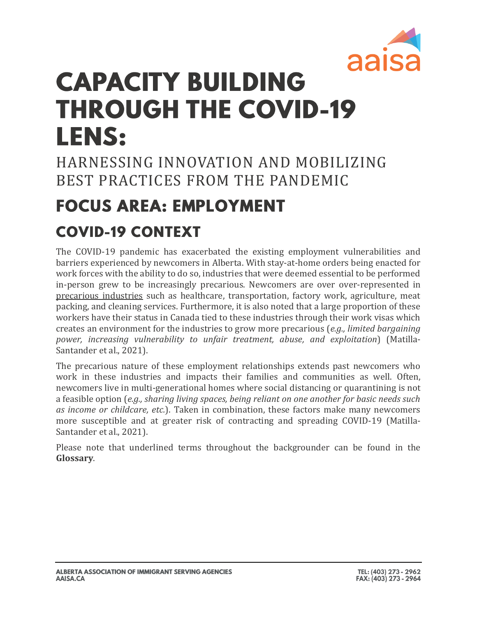

# **CAPACITY BUILDING THROUGH THE COVID-19 LENS:**

HARNESSING INNOVATION AND MOBILIZING BEST PRACTICES FROM THE PANDEMIC

## **FOCUS AREA: EMPLOYMENT**

### **COVID-19 CONTEXT**

The COVID-19 pandemic has exacerbated the existing employment vulnerabilities and barriers experienced by newcomers in Alberta. With stay-at-home orders being enacted for work forces with the ability to do so, industries that were deemed essential to be performed in-person grew to be increasingly precarious. Newcomers are over over-represented in precarious industries such as healthcare, transportation, factory work, agriculture, meat packing, and cleaning services. Furthermore, it is also noted that a large proportion of these workers have their status in Canada tied to these industries through their work visas which creates an environment for the industries to grow more precarious (*e.g., limited bargaining power, increasing vulnerability to unfair treatment, abuse, and exploitation*) (Matilla-Santander et al., 2021).

The precarious nature of these employment relationships extends past newcomers who work in these industries and impacts their families and communities as well. Often, newcomers live in multi-generational homes where social distancing or quarantining is not a feasible option (*e.g., sharing living spaces, being reliant on one another for basic needs such as income or childcare, etc.*). Taken in combination, these factors make many newcomers more susceptible and at greater risk of contracting and spreading COVID-19 (Matilla-Santander et al., 2021).

Please note that underlined terms throughout the backgrounder can be found in the **Glossary**.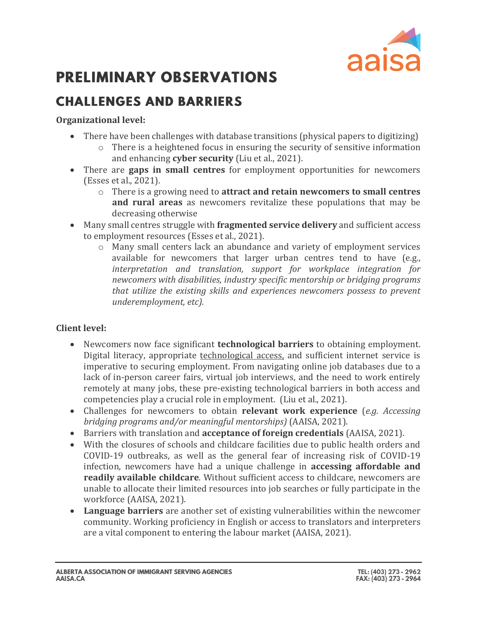

### **PRELIMINARY OBSERVATIONS**

### **CHALLENGES AND BARRIERS**

#### **Organizational level:**

- There have been challenges with database transitions (physical papers to digitizing)
	- o There is a heightened focus in ensuring the security of sensitive information and enhancing **cyber security** (Liu et al., 2021).
- There are **gaps in small centres** for employment opportunities for newcomers (Esses et al., 2021).
	- o There is a growing need to **attract and retain newcomers to small centres and rural areas** as newcomers revitalize these populations that may be decreasing otherwise
- Many small centres struggle with **fragmented service delivery** and sufficient access to employment resources (Esses et al., 2021).
	- o Many small centers lack an abundance and variety of employment services available for newcomers that larger urban centres tend to have (e.g., *interpretation and translation, support for workplace integration for newcomers with disabilities, industry specific mentorship or bridging programs that utilize the existing skills and experiences newcomers possess to prevent underemployment, etc).*

#### **Client level:**

- Newcomers now face significant **technological barriers** to obtaining employment. Digital literacy, appropriate technological access, and sufficient internet service is imperative to securing employment. From navigating online job databases due to a lack of in-person career fairs, virtual job interviews, and the need to work entirely remotely at many jobs, these pre-existing technological barriers in both access and competencies play a crucial role in employment. (Liu et al., 2021).
- Challenges for newcomers to obtain **relevant work experience** (*e.g. Accessing bridging programs and/or meaningful mentorships)* (AAISA, 2021).
- Barriers with translation and **acceptance of foreign credentials** (AAISA, 2021).
- With the closures of schools and childcare facilities due to public health orders and COVID-19 outbreaks, as well as the general fear of increasing risk of COVID-19 infection, newcomers have had a unique challenge in **accessing affordable and readily available childcare**. Without sufficient access to childcare, newcomers are unable to allocate their limited resources into job searches or fully participate in the workforce (AAISA, 2021).
- **Language barriers** are another set of existing vulnerabilities within the newcomer community. Working proficiency in English or access to translators and interpreters are a vital component to entering the labour market (AAISA, 2021).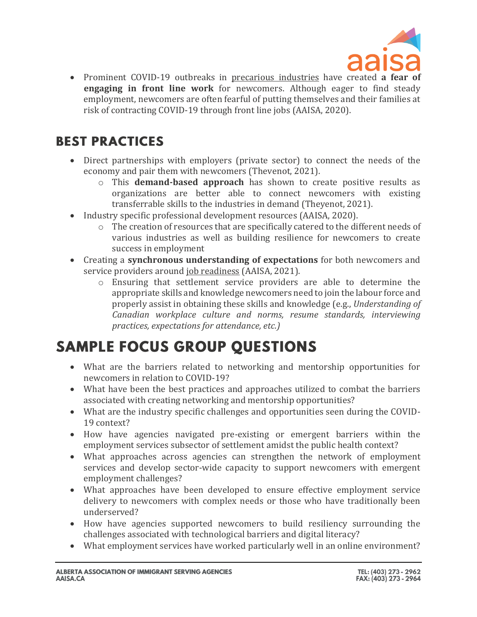

• Prominent COVID-19 outbreaks in precarious industries have created **a fear of engaging in front line work** for newcomers. Although eager to find steady employment, newcomers are often fearful of putting themselves and their families at risk of contracting COVID-19 through front line jobs (AAISA, 2020).

### **BEST PRACTICES**

- Direct partnerships with employers (private sector) to connect the needs of the economy and pair them with newcomers (Thevenot, 2021).
	- o This **demand-based approach** has shown to create positive results as organizations are better able to connect newcomers with existing transferrable skills to the industries in demand (Theyenot, 2021).
- Industry specific professional development resources (AAISA, 2020).
	- $\circ$  The creation of resources that are specifically catered to the different needs of various industries as well as building resilience for newcomers to create success in employment
- Creating a **synchronous understanding of expectations** for both newcomers and service providers around job readiness (AAISA, 2021).
	- o Ensuring that settlement service providers are able to determine the appropriate skills and knowledge newcomers need to join the labour force and properly assist in obtaining these skills and knowledge (e.g., *Understanding of Canadian workplace culture and norms, resume standards, interviewing practices, expectations for attendance, etc.)*

### **SAMPLE FOCUS GROUP QUESTIONS**

- What are the barriers related to networking and mentorship opportunities for newcomers in relation to COVID-19?
- What have been the best practices and approaches utilized to combat the barriers associated with creating networking and mentorship opportunities?
- What are the industry specific challenges and opportunities seen during the COVID-19 context?
- How have agencies navigated pre-existing or emergent barriers within the employment services subsector of settlement amidst the public health context?
- What approaches across agencies can strengthen the network of employment services and develop sector-wide capacity to support newcomers with emergent employment challenges?
- What approaches have been developed to ensure effective employment service delivery to newcomers with complex needs or those who have traditionally been underserved?
- How have agencies supported newcomers to build resiliency surrounding the challenges associated with technological barriers and digital literacy?
- What employment services have worked particularly well in an online environment?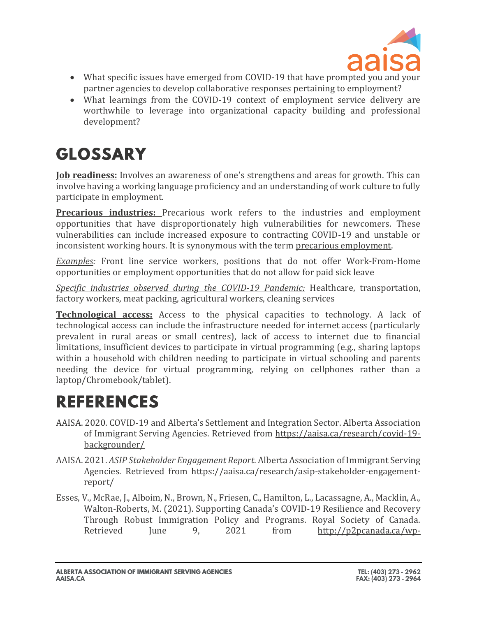

- What specific issues have emerged from COVID-19 that have prompted you and your partner agencies to develop collaborative responses pertaining to employment?
- What learnings from the COVID-19 context of employment service delivery are worthwhile to leverage into organizational capacity building and professional development?

# **GLOSSARY**

**[Job readiness:](https://www.theworkingcentre.org/job-readiness/134#:~:text=Job%20Readiness%20involves%20an%20awareness,strategies%20to%20move%20past%20it.)** Involves an awareness of one's strengthens and areas for growth. This can involve having a working language proficiency and an understanding of work culture to fully participate in employment.

**[Precarious industries:](https://journals.sagepub.com/doi/full/10.1177/0020731420986694)** Precarious work refers to the industries and employment opportunities that have disproportionately high vulnerabilities for newcomers. These vulnerabilities can include increased exposure to contracting COVID-19 and unstable or inconsistent working hours. It is synonymous with the term precarious employment.

*Examples:* Front line service workers, positions that do not offer Work-From-Home opportunities or employment opportunities that do not allow for paid sick leave

*Specific industries observed during the COVID-19 Pandemic:* Healthcare, transportation, factory workers, meat packing, agricultural workers, cleaning services

**Technological access:** Access to the physical capacities to technology. A lack of technological access can include the infrastructure needed for internet access (particularly prevalent in rural areas or small centres), lack of access to internet due to financial limitations, insufficient devices to participate in virtual programming (e.g., sharing laptops within a household with children needing to participate in virtual schooling and parents needing the device for virtual programming, relying on cellphones rather than a laptop/Chromebook/tablet).

### **REFERENCES**

- AAISA. 2020. COVID-19 and Alberta's Settlement and Integration Sector. Alberta Association of Immigrant Serving Agencies. Retrieved from [https://aaisa.ca/research/covid-19](https://aaisa.ca/research/covid-19-backgrounder/) [backgrounder/](https://aaisa.ca/research/covid-19-backgrounder/)
- AAISA. 2021. *ASIP Stakeholder Engagement Report*. Alberta Association of Immigrant Serving Agencies. Retrieved from https://aaisa.ca/research/asip-stakeholder-engagementreport/
- Esses, V., McRae, J., Alboim, N., Brown, N., Friesen, C., Hamilton, L., Lacassagne, A., Macklin, A., Walton-Roberts, M. (2021). Supporting Canada's COVID-19 Resilience and Recovery Through Robust Immigration Policy and Programs. Royal Society of Canada. Retrieved June 9, 2021 from [http://p2pcanada.ca/wp-](http://p2pcanada.ca/wp-content/blogs.dir/1/files/2021/03/Supporting-Canadas-COVID-19-Resilience-and-Recovery-Through-Robust-Immigration-Policy-and-Programs.pdf)